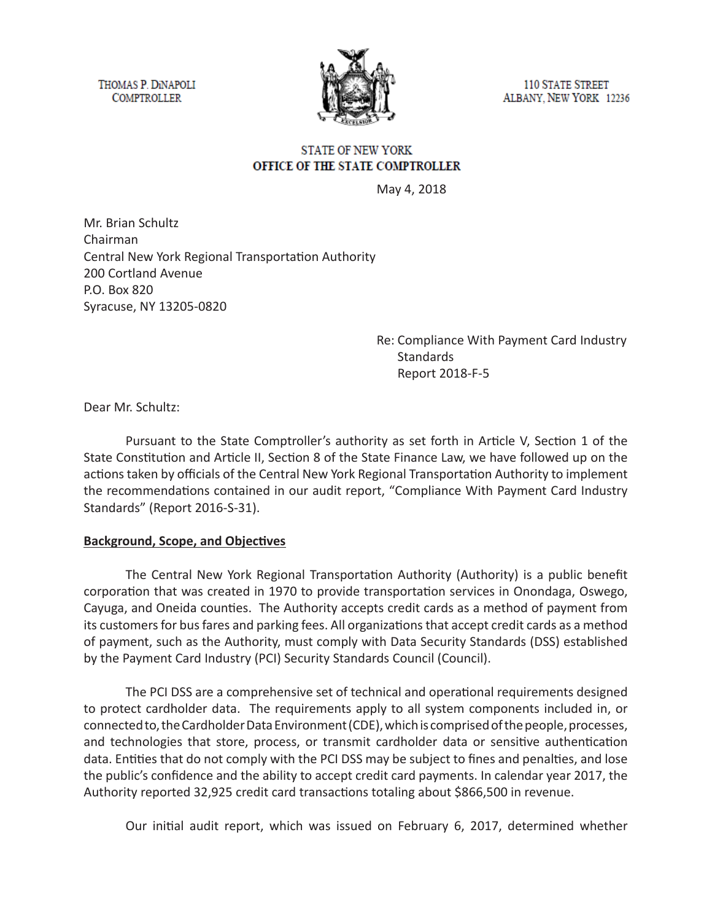THOMAS P. DINAPOLI **COMPTROLLER** 



**110 STATE STREET** ALBANY, NEW YORK 12236

# **STATE OF NEW YORK** OFFICE OF THE STATE COMPTROLLER

May 4, 2018

Mr. Brian Schultz Chairman Central New York Regional Transportation Authority 200 Cortland Avenue P.O. Box 820 Syracuse, NY 13205-0820

> Re: Compliance With Payment Card Industry **Standards** Report 2018-F-5

Dear Mr. Schultz:

Pursuant to the State Comptroller's authority as set forth in Article V, Section 1 of the State Constitution and Article II, Section 8 of the State Finance Law, we have followed up on the actions taken by officials of the Central New York Regional Transportation Authority to implement the recommendations contained in our audit report, "Compliance With Payment Card Industry Standards" (Report 2016-S-31).

#### **Background, Scope, and Objectives**

The Central New York Regional Transportation Authority (Authority) is a public benefit corporation that was created in 1970 to provide transportation services in Onondaga, Oswego, Cayuga, and Oneida counties. The Authority accepts credit cards as a method of payment from its customers for bus fares and parking fees. All organizations that accept credit cards as a method of payment, such as the Authority, must comply with Data Security Standards (DSS) established by the Payment Card Industry (PCI) Security Standards Council (Council).

The PCI DSS are a comprehensive set of technical and operational requirements designed to protect cardholder data. The requirements apply to all system components included in, or connected to, the Cardholder Data Environment (CDE), which is comprised of the people, processes, and technologies that store, process, or transmit cardholder data or sensitive authentication data. Entities that do not comply with the PCI DSS may be subject to fines and penalties, and lose the public's confidence and the ability to accept credit card payments. In calendar year 2017, the Authority reported 32,925 credit card transactions totaling about \$866,500 in revenue.

Our initial audit report, which was issued on February 6, 2017, determined whether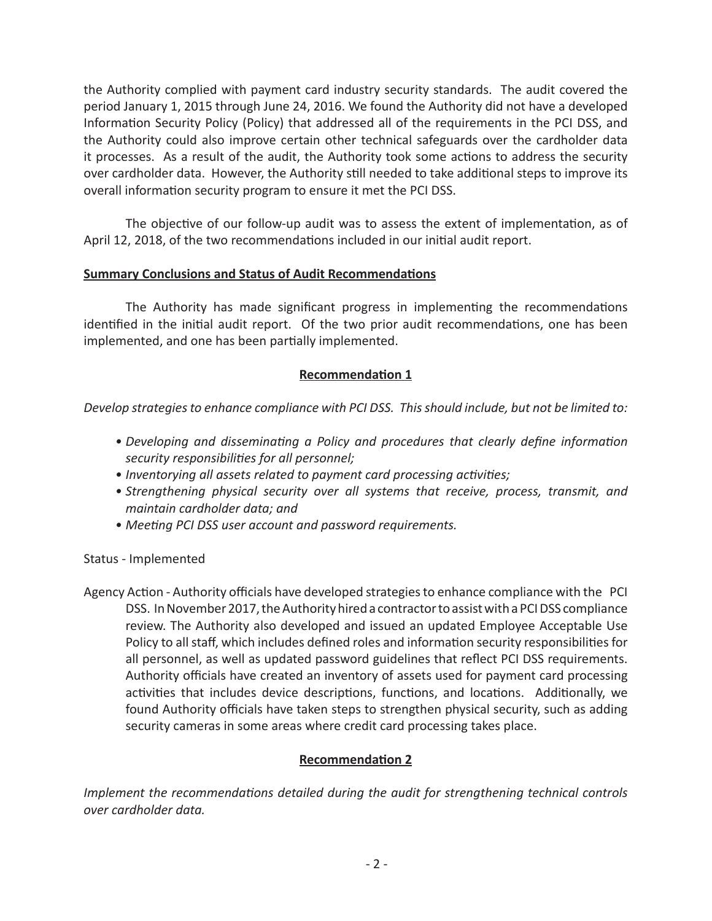the Authority complied with payment card industry security standards. The audit covered the period January 1, 2015 through June 24, 2016. We found the Authority did not have a developed Information Security Policy (Policy) that addressed all of the requirements in the PCI DSS, and the Authority could also improve certain other technical safeguards over the cardholder data it processes. As a result of the audit, the Authority took some actions to address the security over cardholder data. However, the Authority still needed to take additional steps to improve its overall information security program to ensure it met the PCI DSS.

The objective of our follow-up audit was to assess the extent of implementation, as of April 12, 2018, of the two recommendations included in our initial audit report.

#### **Summary Conclusions and Status of Audit Recommendations**

The Authority has made significant progress in implementing the recommendations identified in the initial audit report. Of the two prior audit recommendations, one has been implemented, and one has been partially implemented.

# **Recommendation 1**

*Develop strategies to enhance compliance with PCI DSS. This should include, but not be limited to:*

- *• Developing and disseminating a Policy and procedures that clearly define information security responsibilities for all personnel;*
- *• Inventorying all assets related to payment card processing activities;*
- *• Strengthening physical security over all systems that receive, process, transmit, and maintain cardholder data; and*
- *• Meeting PCI DSS user account and password requirements.*

Status - Implemented

Agency Action - Authority officials have developed strategies to enhance compliance with the PCI DSS. In November 2017, the Authority hired a contractor to assist with a PCI DSS compliance review. The Authority also developed and issued an updated Employee Acceptable Use Policy to all staff, which includes defined roles and information security responsibilities for all personnel, as well as updated password guidelines that reflect PCI DSS requirements. Authority officials have created an inventory of assets used for payment card processing activities that includes device descriptions, functions, and locations. Additionally, we found Authority officials have taken steps to strengthen physical security, such as adding security cameras in some areas where credit card processing takes place.

# **Recommendation 2**

*Implement the recommendations detailed during the audit for strengthening technical controls over cardholder data.*